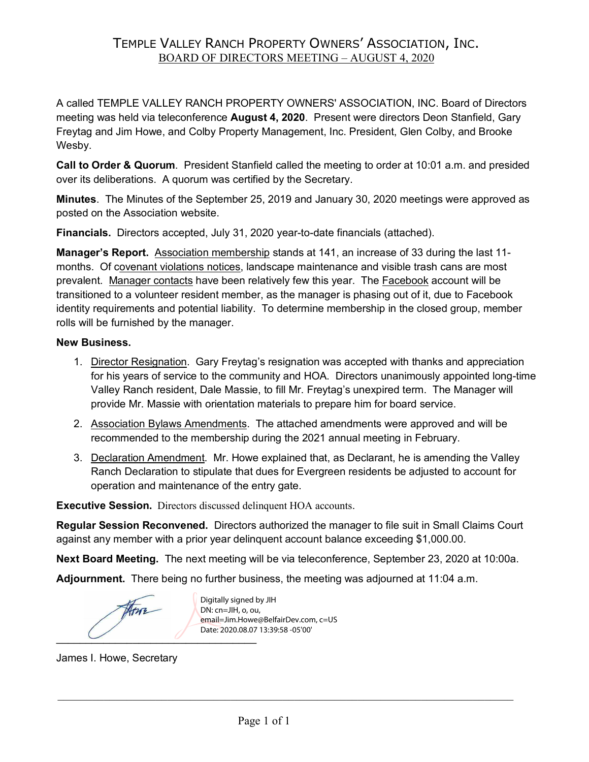### TEMPLE VALLEY RANCH PROPERTY OWNERS' ASSOCIATION, INC. BOARD OF DIRECTORS MEETING – AUGUST 4, 2020

A called TEMPLE VALLEY RANCH PROPERTY OWNERS' ASSOCIATION, INC. Board of Directors meeting was held via teleconference **August 4, 2020**. Present were directors Deon Stanfield, Gary Freytag and Jim Howe, and Colby Property Management, Inc. President, Glen Colby, and Brooke Wesby.

**Call to Order & Quorum**. President Stanfield called the meeting to order at 10:01 a.m. and presided over its deliberations. A quorum was certified by the Secretary.

**Minutes**. The Minutes of the September 25, 2019 and January 30, 2020 meetings were approved as posted on the Association website.

**Financials.** Directors accepted, July 31, 2020 year-to-date financials (attached).

**Manager's Report.** Association membership stands at 141, an increase of 33 during the last 11 months. Of covenant violations notices, landscape maintenance and visible trash cans are most prevalent. Manager contacts have been relatively few this year. The Facebook account will be transitioned to a volunteer resident member, as the manager is phasing out of it, due to Facebook identity requirements and potential liability. To determine membership in the closed group, member rolls will be furnished by the manager.

#### **New Business.**

- 1. Director Resignation. Gary Freytag's resignation was accepted with thanks and appreciation for his years of service to the community and HOA. Directors unanimously appointed long-time Valley Ranch resident, Dale Massie, to fill Mr. Freytag's unexpired term. The Manager will provide Mr. Massie with orientation materials to prepare him for board service.
- 2. Association Bylaws Amendments. The attached amendments were approved and will be recommended to the membership during the 2021 annual meeting in February.
- 3. Declaration Amendment. Mr. Howe explained that, as Declarant, he is amending the Valley Ranch Declaration to stipulate that dues for Evergreen residents be adjusted to account for operation and maintenance of the entry gate.

**Executive Session.** Directors discussed delinquent HOA accounts.

**Regular Session Reconvened.** Directors authorized the manager to file suit in Small Claims Court against any member with a prior year delinquent account balance exceeding \$1,000.00.

**Next Board Meeting.** The next meeting will be via teleconference, September 23, 2020 at 10:00a.

**Adjournment.** There being no further business, the meeting was adjourned at 11:04 a.m.

Arre  $\overline{a}$ 

Digitally signed by JIH DN: cn=JIH, o, ou, email=Jim.Howe@BelfairDev.com, c=US Date: 2020.08.07 13:39:58 -05'00'

James I. Howe, Secretary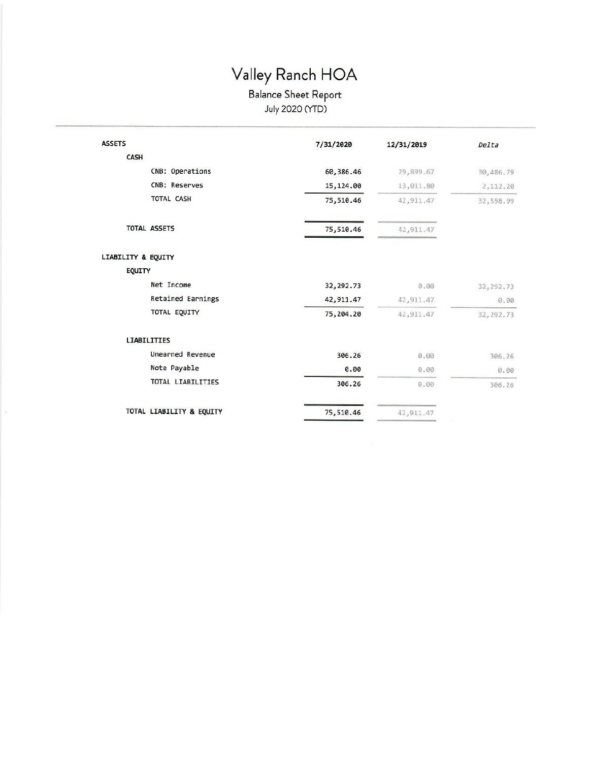# Valley Ranch HOA

# Balance Sheet Report<br>July 2020 (YTD)

| <b>ASSETS</b>                 | 7/31/2020 | 12/31/2019 | Delta      |
|-------------------------------|-----------|------------|------------|
| CASH                          |           |            |            |
| CNB: Operations               | 60,386.46 | 29,899.67  | 30,486.79  |
| CNB: Reserves                 | 15,124.00 | 13,011.80  | 2,112.20   |
| TOTAL CASH                    | 75,510.46 | 42,911.47  | 32,598.99  |
| <b>TOTAL ASSETS</b>           | 75,510.46 | 42,911.47  |            |
| <b>LIABILITY &amp; EQUITY</b> |           |            |            |
| <b>EQUITY</b>                 |           |            |            |
| Net Income                    | 32,292.73 | 0.00       | 32, 292.73 |
| Retained Earnings             | 42,911.47 | 42, 911.47 | 0.00       |
| TOTAL EQUITY                  | 75,204.20 | 42, 911.47 | 32, 292.73 |
| <b>LIABILITIES</b>            |           |            |            |
| <b>Unearned Revenue</b>       | 306.26    | 0.00       | 306.26     |
| Note Payable                  | 0.00      | 0.00       | 0.00       |
| TOTAL LIABILITIES             | 306.26    | 0.00       | 306.26     |
| TOTAL LIABILITY & EQUITY      | 75,510.46 | 42,911.47  |            |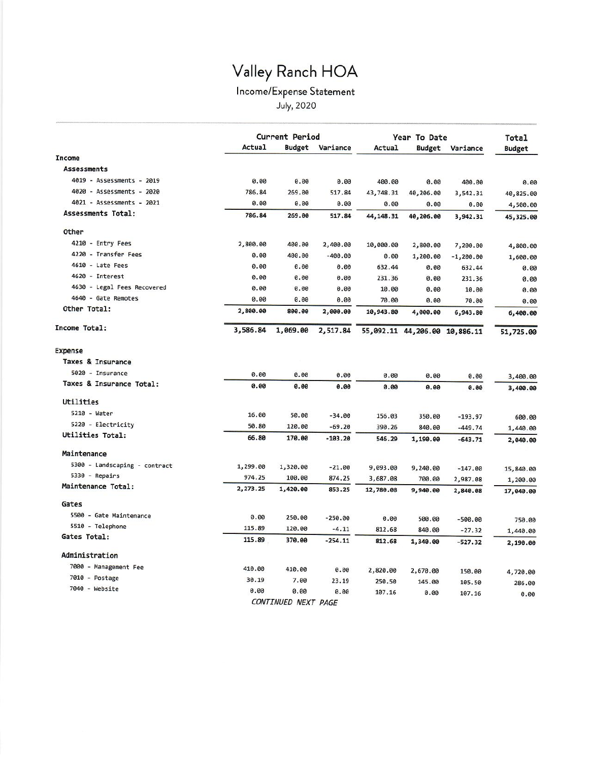# Valley Ranch HOA

## Income/Expense Statement

July, 2020

|                               |          | <b>Current Period</b> |           |            | Year To Date                  |             |                        |
|-------------------------------|----------|-----------------------|-----------|------------|-------------------------------|-------------|------------------------|
|                               | Actual   | <b>Budget</b>         | Variance  | Actual     | <b>Budget</b>                 | Variance    | Total<br><b>Budget</b> |
| <b>Income</b>                 |          |                       |           |            |                               |             |                        |
| <b>Assessments</b>            |          |                       |           |            |                               |             |                        |
| 4019 - Assessments - 2019     | 0.00     | 0.00                  | 0.00      | 400.00     | 0.00                          | 400.00      | 0.00                   |
| 4020 - Assessments - 2020     | 786.84   | 269.00                | 517.84    | 43,748.31  | 40,206.00                     | 3,542.31    | 40,825.00              |
| 4021 - Assessments - 2021     | 0.00     | 0.00                  | 0.00      | 0.00       | 0.00                          | 0.00        | 4,500.00               |
| Assessments Total:            | 786.84   | 269.00                | 517.84    | 44, 148.31 | 40,206.00                     | 3,942.31    | 45,325.00              |
| Other                         |          |                       |           |            |                               |             |                        |
| 4210 - Entry Fees             | 2,800.00 | 400.00                | 2,400.00  | 10,000.00  | 2,800.00                      | 7,200.00    | 4,800.00               |
| 4220 - Transfer Fees          | 0.00     | 400.00                | $-400.00$ | 0.00       | 1,200.00                      | $-1,200.00$ | 1,600.00               |
| 4610 - Late Fees              | 0.00     | 0.00                  | 0.00      | 632.44     | 0.00                          | 632.44      | 0.00                   |
| 4620 - Interest               | 0.00     | 0.00                  | 0.00      | 231.36     | 0.00                          | 231.36      | 0.00                   |
| 4630 - Legal Fees Recovered   | 0.00     | 0.00                  | 0.00      | 10.00      | 0.00                          | 10.00       | 0.00                   |
| 4640 - Gate Remotes           | 0.00     | 0.00                  | 0.00      | 70.00      | 0.00                          | 70.00       | 0.00                   |
| Other Total:                  | 2,800.00 | 800.00                | 2,000.00  | 10,943.80  | 4,000.00                      | 6,943.80    | 6,400.00               |
| Income Total:                 | 3,586.84 | 1,069.00              | 2,517.84  |            | 55,092.11 44,206.00 10,886.11 |             | 51,725.00              |
| <b>Expense</b>                |          |                       |           |            |                               |             |                        |
| Taxes & Insurance             |          |                       |           |            |                               |             |                        |
| 5020 - Insurance              | 0.00     | 0.00                  | 0.00      | 0.00       | 0.00                          | 0.00        | 3,400.00               |
| Taxes & Insurance Total:      | 0.00     | 0.00                  | 0.00      | 0.00       | 0.00                          | 0.00        | 3,400.00               |
| Utilities                     |          |                       |           |            |                               |             |                        |
| 5210 - Water                  | 16.00    | 50.00                 | $-34.00$  | 156.03     | 350.00                        | $-193.97$   | 600.00                 |
| 5220 - Electricity            | 50.80    | 120.00                | $-69.20$  | 390.26     | 840.00                        | $-449.74$   | 1,440.00               |
| Utilities Total:              | 66.80    | 170.00                | $-103.20$ | 546.29     | 1,190.00                      | $-643.71$   | 2,040.00               |
| Maintenance                   |          |                       |           |            |                               |             |                        |
| 5300 - Landscaping - contract | 1,299.00 | 1,320.00              | $-21.00$  | 9,093.00   | 9,240.00                      | $-147.00$   | 15,840.00              |
| 5330 - Repairs                | 974.25   | 100.00                | 874.25    | 3,687.08   | 700.00                        | 2,987.08    | 1,200.00               |
| Maintenance Total:            | 2,273.25 | 1,420.00              | 853.25    | 12,780.08  | 9,940.00                      | 2,840.08    | 17,040.00              |
| Gates                         |          |                       |           |            |                               |             |                        |
| 5500 - Gate Maintenance       | 0.00     | 250.00                | $-250.00$ | 0.00       |                               |             |                        |
| 5510 - Telephone              | 115.89   | 120.00                | $-4.11$   | 812.68     | 500.00                        | $-500.00$   | 750.00                 |
| Gates Total:                  | 115.89   | 370.00                | $-254.11$ |            | 840.00                        | $-27.32$    | 1,440.00               |
|                               |          |                       |           | 812.68     | 1,340.00                      | $-527.32$   | 2,190.00               |
| Administration                |          |                       |           |            |                               |             |                        |
| 7000 - Management Fee         | 410.00   | 410.00                | 0.00      | 2,820.00   | 2,670.00                      | 150.00      | 4,720.00               |
| 7010 - Postage                | 30.19    | 7.00                  | 23.19     | 250.50     | 145.00                        | 105.50      | 286.00                 |
| 7040 - Website                | 0.00     | 0.00                  | 0.00      | 107.16     | 0.00                          | 107.16      | 0.00                   |
|                               |          | CONTINUED NEXT PAGE   |           |            |                               |             |                        |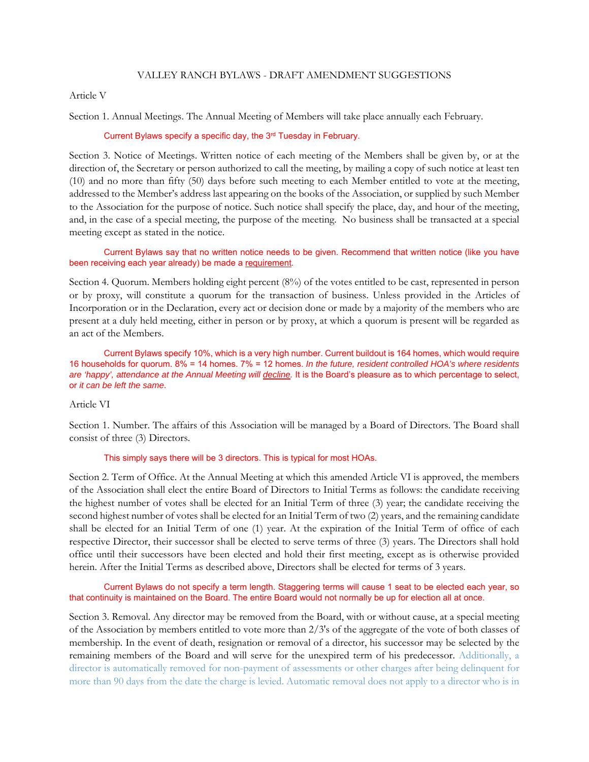#### VALLEY RANCH BYLAWS - DRAFT AMENDMENT SUGGESTIONS

#### Article V

Section 1. Annual Meetings. The Annual Meeting of Members will take place annually each February.

#### Current Bylaws specify a specific day, the 3rd Tuesday in February.

Section 3. Notice of Meetings. Written notice of each meeting of the Members shall be given by, or at the direction of, the Secretary or person authorized to call the meeting, by mailing a copy of such notice at least ten (10) and no more than fifty (50) days before such meeting to each Member entitled to vote at the meeting, addressed to the Member's address last appearing on the books of the Association, or supplied by such Member to the Association for the purpose of notice. Such notice shall specify the place, day, and hour of the meeting, and, in the case of a special meeting, the purpose of the meeting. No business shall be transacted at a special meeting except as stated in the notice.

#### Current Bylaws say that no written notice needs to be given. Recommend that written notice (like you have been receiving each year already) be made a requirement.

Section 4. Quorum. Members holding eight percent (8%) of the votes entitled to be cast, represented in person or by proxy, will constitute a quorum for the transaction of business. Unless provided in the Articles of Incorporation or in the Declaration, every act or decision done or made by a majority of the members who are present at a duly held meeting, either in person or by proxy, at which a quorum is present will be regarded as an act of the Members.

 Current Bylaws specify 10%, which is a very high number. Current buildout is 164 homes, which would require 16 households for quorum. 8% = 14 homes. 7% = 12 homes. *In the future, resident controlled HOA's where residents*  are 'happy', attendance at the Annual Meeting will *decline*. It is the Board's pleasure as to which percentage to select, or *it can be left the same*.

Article VI

Section 1. Number. The affairs of this Association will be managed by a Board of Directors. The Board shall consist of three (3) Directors.

#### This simply says there will be 3 directors. This is typical for most HOAs.

Section 2. Term of Office. At the Annual Meeting at which this amended Article VI is approved, the members of the Association shall elect the entire Board of Directors to Initial Terms as follows: the candidate receiving the highest number of votes shall be elected for an Initial Term of three (3) year; the candidate receiving the second highest number of votes shall be elected for an Initial Term of two (2) years, and the remaining candidate shall be elected for an Initial Term of one (1) year. At the expiration of the Initial Term of office of each respective Director, their successor shall be elected to serve terms of three (3) years. The Directors shall hold office until their successors have been elected and hold their first meeting, except as is otherwise provided herein. After the Initial Terms as described above, Directors shall be elected for terms of 3 years.

 Current Bylaws do not specify a term length. Staggering terms will cause 1 seat to be elected each year, so that continuity is maintained on the Board. The entire Board would not normally be up for election all at once.

Section 3. Removal. Any director may be removed from the Board, with or without cause, at a special meeting of the Association by members entitled to vote more than 2/3's of the aggregate of the vote of both classes of membership. In the event of death, resignation or removal of a director, his successor may be selected by the remaining members of the Board and will serve for the unexpired term of his predecessor. Additionally, a director is automatically removed for non-payment of assessments or other charges after being delinquent for more than 90 days from the date the charge is levied. Automatic removal does not apply to a director who is in